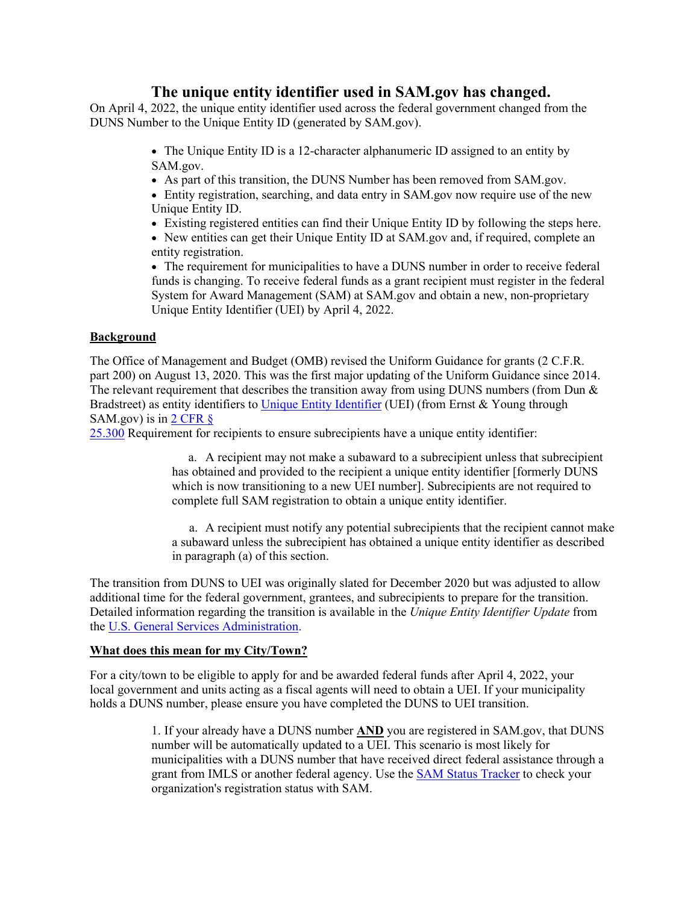# **The unique entity identifier used in SAM.gov has changed.**

On April 4, 2022, the unique entity identifier used across the federal government changed from the DUNS Number to the Unique Entity ID (generated by SAM.gov).

> • The Unique Entity ID is a 12-character alphanumeric ID assigned to an entity by SAM.gov.

• As part of this transition, the DUNS Number has been removed from SAM.gov.

• Entity registration, searching, and data entry in SAM.gov now require use of the new Unique Entity ID.

- Existing registered entities can find their Unique Entity ID by following the steps here.
- New entities can get their Unique Entity ID at SAM.gov and, if required, complete an entity registration.

• The requirement for municipalities to have a DUNS number in order to receive federal funds is changing. To receive federal funds as a grant recipient must register in the federal System for Award Management (SAM) at SAM.gov and obtain a new, non-proprietary Unique Entity Identifier (UEI) by April 4, 2022.

## **Background**

The Office of Management and Budget (OMB) revised the Uniform Guidance for grants (2 C.F.R. part 200) on August 13, 2020. This was the first major updating of the Uniform Guidance since 2014. The relevant requirement that describes the transition away from using DUNS numbers (from Dun  $\&$ Bradstreet) as entity identifiers to [Unique Entity Identifier](https://www.gsa.gov/about-us/organization/federal-acquisition-service/office-of-systems-management/integrated-award-environment-iae/iae-information-kit/unique-entity-identifier-update) (UEI) (from Ernst & Young through SAM.gov) is in  $2$  CFR  $\delta$ 

[25.300](https://ecfr.io/Title-2/Section-25.300) Requirement for recipients to ensure subrecipients have a unique entity identifier:

a. A recipient may not make a subaward to a subrecipient unless that subrecipient has obtained and provided to the recipient a unique entity identifier [formerly DUNS which is now transitioning to a new UEI number]. Subrecipients are not required to complete full SAM registration to obtain a unique entity identifier.

a. A recipient must notify any potential subrecipients that the recipient cannot make a subaward unless the subrecipient has obtained a unique entity identifier as described in paragraph (a) of this section.

The transition from DUNS to UEI was originally slated for December 2020 but was adjusted to allow additional time for the federal government, grantees, and subrecipients to prepare for the transition. Detailed information regarding the transition is available in the *Unique Entity Identifier Update* from the [U.S. General Services Administration.](https://www.gsa.gov/about-us/organization/federal-acquisition-service/office-of-systems-management/integrated-award-environment-iae/iae-systems-information-kit/unique-entity-identifier-update)

### **What does this mean for my City/Town?**

For a city/town to be eligible to apply for and be awarded federal funds after April 4, 2022, your local government and units acting as a fiscal agents will need to obtain a UEI. If your municipality holds a DUNS number, please ensure you have completed the DUNS to UEI transition.

> 1. If your already have a DUNS number **AND** you are registered in SAM.gov, that DUNS number will be automatically updated to a UEI. This scenario is most likely for municipalities with a DUNS number that have received direct federal assistance through a grant from IMLS or another federal agency. Use the [SAM Status Tracker](https://sam.gov/content/status-tracker) to check your organization's registration status with SAM.